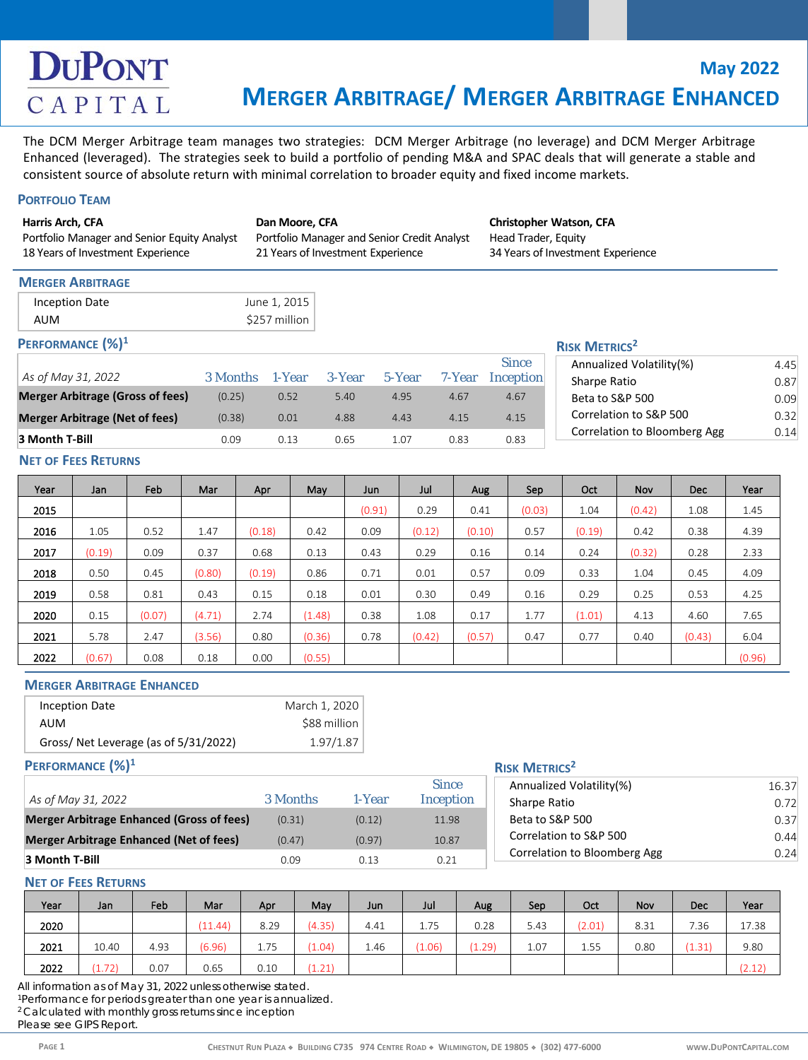# **May 2022 MERGER ARBITRAGE/ MERGER ARBITRAGE ENHANCED**

The DCM Merger Arbitrage team manages two strategies: DCM Merger Arbitrage (no leverage) and DCM Merger Arbitrage Enhanced (leveraged). The strategies seek to build a portfolio of pending M&A and SPAC deals that will generate a stable and consistent source of absolute return with minimal correlation to broader equity and fixed income markets.

## **PORTFOLIO TEAM**

**DUPONT** 

CAPITAL

| Harris Arch, CFA<br>Portfolio Manager and Senior Equity Analyst<br>18 Years of Investment Experience |                                                  |                                         |                                                  |                               | Dan Moore, CFA<br>Portfolio Manager and Senior Credit Analyst<br>21 Years of Investment Experience |              |        |                                  |        | Christopher Watson, CFA<br>Head Trader, Equity<br>34 Years of Investment Experience |                                                               |                                                               |            |              |              |
|------------------------------------------------------------------------------------------------------|--------------------------------------------------|-----------------------------------------|--------------------------------------------------|-------------------------------|----------------------------------------------------------------------------------------------------|--------------|--------|----------------------------------|--------|-------------------------------------------------------------------------------------|---------------------------------------------------------------|---------------------------------------------------------------|------------|--------------|--------------|
| <b>AUM</b>                                                                                           | <b>MERGER ARBITRAGE</b><br><b>Inception Date</b> |                                         |                                                  | June 1, 2015<br>\$257 million |                                                                                                    |              |        |                                  |        |                                                                                     |                                                               |                                                               |            |              |              |
|                                                                                                      | PERFORMANCE (%) <sup>1</sup>                     |                                         |                                                  |                               |                                                                                                    |              |        |                                  |        |                                                                                     | <b>RISK METRICS<sup>2</sup></b>                               |                                                               |            |              |              |
| As of May 31, 2022                                                                                   |                                                  |                                         | 3 Months                                         |                               | 1-Year<br>3-Year                                                                                   |              | 5-Year | <b>Since</b><br>7-Year Inception |        | Annualized Volatility(%)<br>Sharpe Ratio                                            |                                                               |                                                               |            | 4.45<br>0.87 |              |
|                                                                                                      |                                                  | <b>Merger Arbitrage (Gross of fees)</b> | (0.25)                                           | 0.52                          |                                                                                                    | 5.40         | 4.95   | 4.67                             |        | 4.67                                                                                | Beta to S&P 500                                               |                                                               |            |              | 0.09         |
|                                                                                                      | <b>Merger Arbitrage (Net of fees)</b>            |                                         | (0.38)                                           | 0.01                          |                                                                                                    | 4.88         | 4.43   | 4.15                             |        | 4.15                                                                                |                                                               | Correlation to S&P 500<br><b>Correlation to Bloomberg Agg</b> |            |              | 0.32<br>0.14 |
| 3 Month T-Bill                                                                                       |                                                  |                                         | 0.09                                             | 0.13                          |                                                                                                    | 0.65         | 1.07   | 0.83                             |        | 0.83                                                                                |                                                               |                                                               |            |              |              |
|                                                                                                      | <b>NET OF FEES RETURNS</b>                       |                                         |                                                  |                               |                                                                                                    |              |        |                                  |        |                                                                                     |                                                               |                                                               |            |              |              |
| Year                                                                                                 | Jan                                              | Feb                                     | Mar                                              | Apr                           | May                                                                                                | Jun          | Jul    |                                  | Aug    | Sep                                                                                 | Oct                                                           | Nov                                                           | <b>Dec</b> | Year         |              |
| 2015                                                                                                 |                                                  |                                         |                                                  |                               |                                                                                                    | (0.91)       | 0.29   |                                  | 0.41   | (0.03)                                                                              | 1.04                                                          | (0.42)                                                        | 1.08       | 1.45         |              |
| 2016                                                                                                 | 1.05                                             | 0.52                                    | 1.47                                             | (0.18)                        | 0.42                                                                                               | 0.09         | (0.12) |                                  | (0.10) | 0.57                                                                                | (0.19)                                                        | 0.42                                                          | 0.38       | 4.39         |              |
| 2017                                                                                                 | (0.19)                                           | 0.09                                    | 0.37                                             | 0.68                          | 0.13                                                                                               | 0.43         | 0.29   |                                  | 0.16   | 0.14                                                                                | 0.24                                                          | (0.32)                                                        | 0.28       | 2.33         |              |
| 2018                                                                                                 | 0.50                                             | 0.45                                    | (0.80)                                           | (0.19)                        | 0.86                                                                                               | 0.71         | 0.01   |                                  | 0.57   | 0.09                                                                                | 0.33                                                          | 1.04                                                          | 0.45       | 4.09         |              |
| 2019                                                                                                 | 0.58                                             | 0.81                                    | 0.43                                             | 0.15                          | 0.18                                                                                               | 0.01         | 0.30   |                                  | 0.49   | 0.16                                                                                | 0.29                                                          | 0.25                                                          | 0.53       | 4.25         |              |
| 2020                                                                                                 | 0.15                                             | (0.07)                                  | (4.71)                                           | 2.74                          | (1.48)                                                                                             | 0.38         | 1.08   |                                  | 0.17   | 1.77                                                                                | (1.01)                                                        | 4.13                                                          | 4.60       | 7.65         |              |
| 2021                                                                                                 | 5.78                                             | 2.47                                    | (3.56)                                           | 0.80                          | (0.36)                                                                                             | 0.78         | (0.42) |                                  | (0.57) | 0.47                                                                                | 0.77                                                          | 0.40                                                          | (0.43)     | 6.04         |              |
| 2022                                                                                                 | (0.67)                                           | 0.08                                    | 0.18                                             | 0.00                          | (0.55)                                                                                             |              |        |                                  |        |                                                                                     |                                                               |                                                               |            | (0.96)       |              |
| <b>AUM</b>                                                                                           | <b>Inception Date</b>                            | <b>MERGER ARBITRAGE ENHANCED</b>        |                                                  |                               | March 1, 2020                                                                                      | \$88 million |        |                                  |        |                                                                                     |                                                               |                                                               |            |              |              |
|                                                                                                      |                                                  |                                         | Gross/ Net Leverage (as of 5/31/2022)            |                               |                                                                                                    | 1.97/1.87    |        |                                  |        |                                                                                     |                                                               |                                                               |            |              |              |
|                                                                                                      | PERFORMANCE (%) <sup>1</sup>                     |                                         |                                                  |                               |                                                                                                    |              |        |                                  |        | <b>RISK METRICS<sup>2</sup></b>                                                     |                                                               |                                                               |            |              |              |
|                                                                                                      |                                                  |                                         |                                                  |                               |                                                                                                    |              |        | <b>Since</b>                     |        |                                                                                     | Annualized Volatility(%)                                      |                                                               |            |              | 16.37        |
|                                                                                                      | As of May 31, 2022                               |                                         |                                                  |                               | 3 Months                                                                                           |              | 1-Year | Inception                        |        | Sharpe Ratio                                                                        |                                                               |                                                               |            |              | 0.72         |
|                                                                                                      |                                                  |                                         | <b>Merger Arbitrage Enhanced (Gross of fees)</b> |                               | (0.31)                                                                                             | (0.12)       |        | 11.98                            |        |                                                                                     | Beta to S&P 500                                               |                                                               |            |              | 0.37         |
|                                                                                                      |                                                  |                                         | <b>Merger Arbitrage Enhanced (Net of fees)</b>   |                               | (0.47)<br>(0.97)                                                                                   |              |        | 10.87                            |        |                                                                                     | Correlation to S&P 500<br><b>Correlation to Bloomberg Agg</b> |                                                               |            |              | 0.44<br>0.24 |
| 3 Month T-Bill                                                                                       |                                                  |                                         |                                                  |                               | 0.09<br>0.13                                                                                       |              |        | 0.21                             |        |                                                                                     |                                                               |                                                               |            |              |              |

### **NET OF FEES RETURNS**

| Year | Jan                 | Feb  | Mar     | Apr  | May                 | Jun  | Jul    | Aug    | Sep  | Oct    | Nov  | Dec  | Year   |
|------|---------------------|------|---------|------|---------------------|------|--------|--------|------|--------|------|------|--------|
| 2020 |                     |      | (11.44) | 8.29 | (4.35)              | 4.41 | 1.75   | 0.28   | 5.43 | (2.01) | 8.31 | 7.36 | 17.38  |
| 2021 | 10.40               | 4.93 | (6.96)  | 1.75 | $1.04$ <sup>1</sup> | 1.46 | (1.06) | (1.29) | 1.07 | 1.55   | 0.80 | 1.31 | 9.80   |
| 2022 | $\perp$ ./ $\angle$ | 0.07 | 0.65    | 0.10 | 1.21                |      |        |        |      |        |      |      | (2.12) |

All information as of May 31, 2022 unless otherwise stated.

1Performance for periods greater than one year is annualized.

2 Calculated with monthly gross returns since inception

Please see GIPS Report.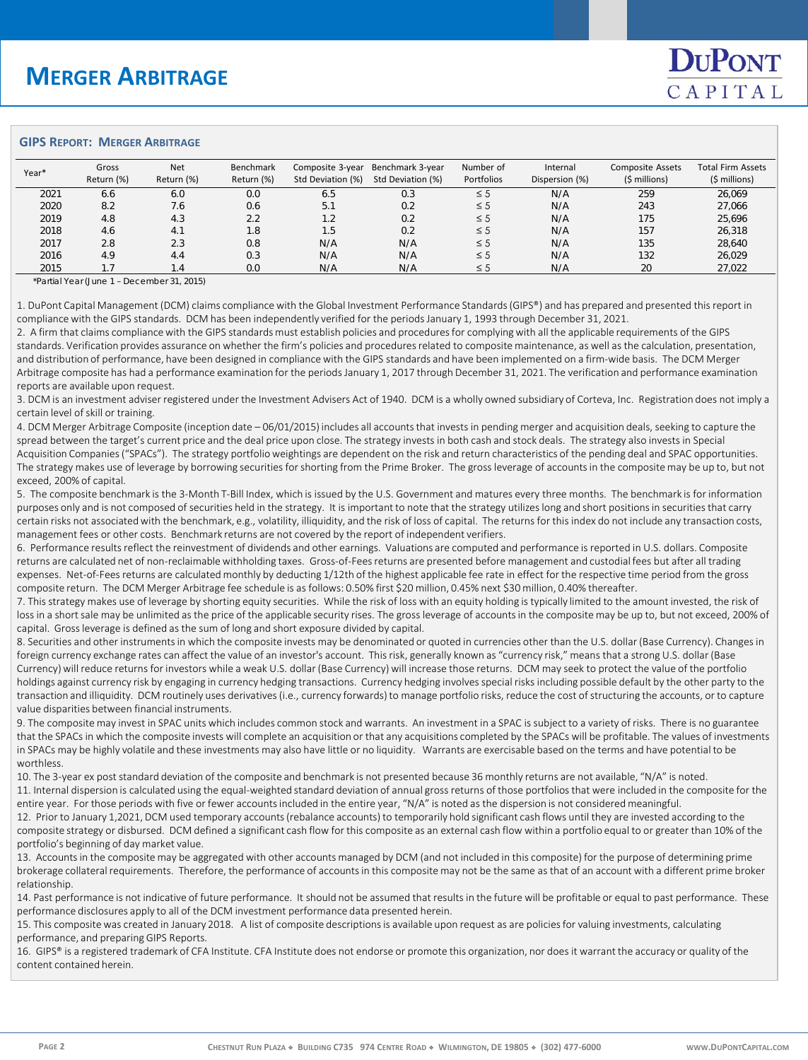#### **GIPS REPORT: MERGER ARBITRAGE**

| Year* | Gross<br>Return (%) | <b>Net</b><br>Return (%) | Benchmark<br>Return (%) | Composite 3-year<br>Std Deviation (%) | Benchmark 3-year<br>Std Deviation (%) | Number of<br>Portfolios | Internal<br>Dispersion (%) | <b>Composite Assets</b><br>(\$ millions) | <b>Total Firm Assets</b><br>(\$ millions) |
|-------|---------------------|--------------------------|-------------------------|---------------------------------------|---------------------------------------|-------------------------|----------------------------|------------------------------------------|-------------------------------------------|
| 2021  | 6.6                 | 6.0                      | 0.0                     | 6.5                                   | 0.3                                   | $\leq$ 5                | N/A                        | 259                                      | 26.069                                    |
| 2020  | 8.2                 | 7.6                      | 0.6                     | 5.1                                   | 0.2                                   | $\leq$ 5                | N/A                        | 243                                      | 27.066                                    |
| 2019  | 4.8                 | 4.3                      | 2.2                     | 1.2                                   | 0.2                                   | $\leq$ 5                | N/A                        | 175                                      | 25,696                                    |
| 2018  | 4.6                 | 4.1                      | 1.8                     | .5                                    | 0.2                                   | $\leq$ 5                | N/A                        | 157                                      | 26,318                                    |
| 2017  | 2.8                 | 2.3                      | 0.8                     | N/A                                   | N/A                                   | $\leq$ 5                | N/A                        | 135                                      | 28.640                                    |
| 2016  | 4.9                 | 4.4                      | 0.3                     | N/A                                   | N/A                                   | $\leq$ 5                | N/A                        | 132                                      | 26,029                                    |
| 2015  |                     | $\overline{A}$           | 0.0                     | N/A                                   | N/A                                   | $\leq$ 5                | N/A                        | 20                                       | 27,022                                    |

\*Partial Year (June 1 – December 31, 2015)

1. DuPont Capital Management (DCM) claims compliance with the Global Investment Performance Standards (GIPS®) and has prepared and presented this report in compliance with the GIPS standards. DCM has been independently verified for the periods January 1, 1993 through December 31, 2021.

2. A firm that claims compliance with the GIPS standards must establish policies and procedures for complying with all the applicable requirements of the GIPS standards. Verification provides assurance on whether the firm's policies and procedures related to composite maintenance, as well as the calculation, presentation, and distribution of performance, have been designed in compliance with the GIPS standards and have been implemented on a firm-wide basis. The DCM Merger Arbitrage composite has had a performance examination for the periods January 1, 2017 through December 31, 2021. The verification and performance examination reports are available upon request.

3. DCM is an investment adviser registered under the Investment Advisers Act of 1940. DCM is a wholly owned subsidiary of Corteva, Inc. Registration does not imply a certain level of skill or training.

4. DCM Merger Arbitrage Composite (inception date – 06/01/2015) includes all accounts that invests in pending merger and acquisition deals, seeking to capture the spread between the target's current price and the deal price upon close. The strategy invests in both cash and stock deals. The strategy also invests in Special Acquisition Companies ("SPACs"). The strategy portfolio weightings are dependent on the risk and return characteristics of the pending deal and SPAC opportunities. The strategy makes use of leverage by borrowing securities for shorting from the Prime Broker. The gross leverage of accounts in the composite may be up to, but not exceed, 200% of capital.

5. The composite benchmark is the 3-Month T-Bill Index, which is issued by the U.S. Government and matures every three months. The benchmark is for information purposes only and is not composed of securities held in the strategy. It is important to note that the strategy utilizes long and short positions in securities that carry certain risks not associated with the benchmark, e.g., volatility, illiquidity, and the risk of loss of capital. The returns for this index do not include any transaction costs, management fees or other costs. Benchmark returns are not covered by the report of independent verifiers.

6. Performance results reflect the reinvestment of dividends and other earnings. Valuations are computed and performance is reported in U.S. dollars. Composite returns are calculated net of non-reclaimable withholding taxes. Gross-of-Fees returns are presented before management and custodial fees but after all trading expenses. Net-of-Fees returns are calculated monthly by deducting 1/12th of the highest applicable fee rate in effect for the respective time period from the gross composite return. The DCM Merger Arbitrage fee schedule is as follows: 0.50% first \$20 million, 0.45% next \$30 million, 0.40% thereafter.

7. This strategy makes use of leverage by shorting equity securities. While the risk of loss with an equity holding is typically limited to the amount invested, the risk of loss in a short sale may be unlimited as the price of the applicable security rises. The gross leverage of accounts in the composite may be up to, but not exceed, 200% of capital. Gross leverage is defined as the sum of long and short exposure divided by capital.

8. Securities and other instruments in which the composite invests may be denominated or quoted in currencies other than the U.S. dollar (Base Currency). Changes in foreign currency exchange rates can affect the value of an investor's account. This risk, generally known as "currency risk," means that a strong U.S. dollar (Base Currency) will reduce returns for investors while a weak U.S. dollar (Base Currency) will increase those returns. DCM may seek to protect the value of the portfolio holdings against currency risk by engaging in currency hedging transactions. Currency hedging involves special risks including possible default by the other party to the transaction and illiquidity. DCM routinely uses derivatives (i.e., currency forwards) to manage portfolio risks, reduce the cost of structuring the accounts, or to capture value disparities between financial instruments.

9. The composite may invest in SPAC units which includes common stock and warrants. An investment in a SPAC is subject to a variety of risks. There is no guarantee that the SPACs in which the composite invests will complete an acquisition or that any acquisitions completed by the SPACs will be profitable. The values of investments in SPACs may be highly volatile and these investments may also have little or no liquidity. Warrants are exercisable based on the terms and have potential to be worthless.

10. The 3-year ex post standard deviation of the composite and benchmark is not presented because 36 monthly returns are not available, "N/A" is noted. 11. Internal dispersion is calculated using the equal-weighted standard deviation of annual gross returns of those portfolios that were included in the composite for the entire year. For those periods with five or fewer accounts included in the entire year, "N/A" is noted as the dispersion is not considered meaningful. 12. Prior to January 1,2021, DCM used temporary accounts (rebalance accounts) to temporarily hold significant cash flows until they are invested according to the

composite strategy or disbursed. DCM defined a significant cash flow for this composite as an external cash flow within a portfolio equal to or greater than 10% of the portfolio's beginning of day market value.

13. Accounts in the composite may be aggregated with other accounts managed by DCM (and not included in this composite) for the purpose of determining prime brokerage collateral requirements. Therefore, the performance of accounts in this composite may not be the same as that of an account with a different prime broker relationship.

14. Past performance is not indicative of future performance. It should not be assumed that results in the future will be profitable or equal to past performance. These performance disclosures apply to all of the DCM investment performance data presented herein.

15. This composite was created in January 2018. A list of composite descriptions is available upon request as are policies for valuing investments, calculating performance, and preparing GIPS Reports.

16. GIPS® is a registered trademark of CFA Institute. CFA Institute does not endorse or promote this organization, nor does it warrant the accuracy or quality of the content contained herein.